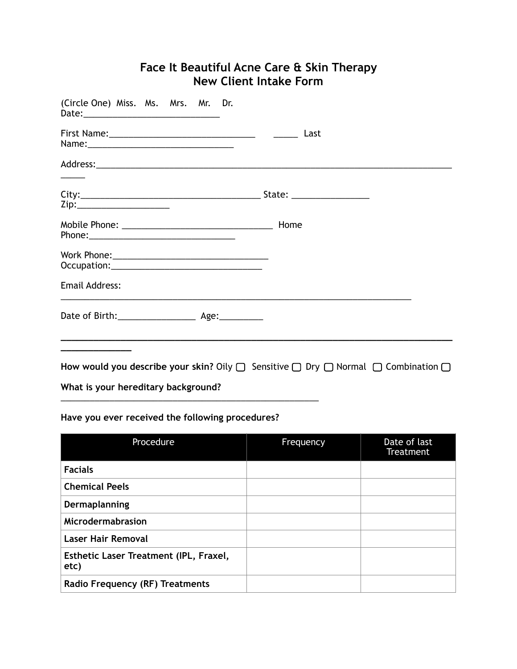# **Face It Beautiful Acne Care & Skin Therapy New Client Intake Form**

| (Circle One) Miss. Ms. Mrs. Mr. Dr. |  |  |                                                                                                            |
|-------------------------------------|--|--|------------------------------------------------------------------------------------------------------------|
|                                     |  |  |                                                                                                            |
|                                     |  |  |                                                                                                            |
|                                     |  |  |                                                                                                            |
|                                     |  |  |                                                                                                            |
|                                     |  |  |                                                                                                            |
| <b>Email Address:</b>               |  |  |                                                                                                            |
|                                     |  |  |                                                                                                            |
|                                     |  |  | How would you describe your skin? Oily $\Box$ Sensitive $\Box$ Dry $\Box$ Normal $\Box$ Combination $\Box$ |
| What is your hereditary background? |  |  |                                                                                                            |

## **Have you ever received the following procedures?**

\_\_\_\_\_\_\_\_\_\_\_\_\_\_\_\_\_\_\_\_\_\_\_\_\_\_\_\_\_\_\_\_\_\_\_\_\_\_\_\_\_\_\_\_\_\_\_\_\_\_\_\_\_

| Procedure                                      | Frequency | Date of last<br>Treatment |
|------------------------------------------------|-----------|---------------------------|
| <b>Facials</b>                                 |           |                           |
| <b>Chemical Peels</b>                          |           |                           |
| Dermaplanning                                  |           |                           |
| Microdermabrasion                              |           |                           |
| <b>Laser Hair Removal</b>                      |           |                           |
| Esthetic Laser Treatment (IPL, Fraxel,<br>etc) |           |                           |
| <b>Radio Frequency (RF) Treatments</b>         |           |                           |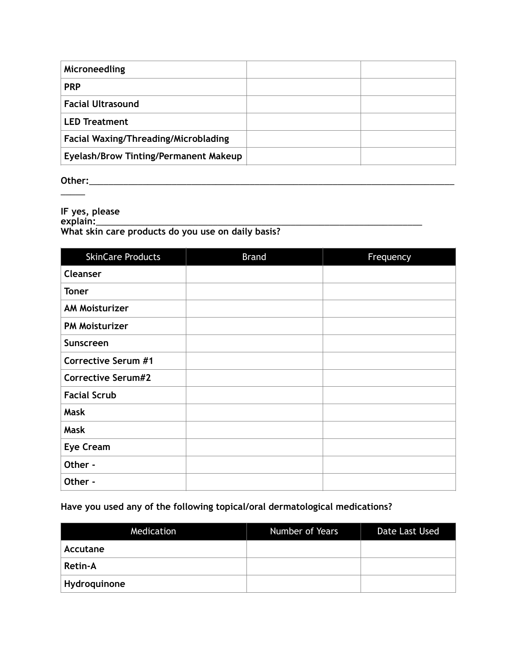| Microneedling                               |  |
|---------------------------------------------|--|
| <b>PRP</b>                                  |  |
| <b>Facial Ultrasound</b>                    |  |
| <b>LED Treatment</b>                        |  |
| <b>Facial Waxing/Threading/Microblading</b> |  |
| Eyelash/Brow Tinting/Permanent Makeup       |  |

**Other:**\_\_\_\_\_\_\_\_\_\_\_\_\_\_\_\_\_\_\_\_\_\_\_\_\_\_\_\_\_\_\_\_\_\_\_\_\_\_\_\_\_\_\_\_\_\_\_\_\_\_\_\_\_\_\_\_\_\_\_\_\_\_\_\_\_\_\_\_\_\_\_\_\_\_\_  $\overline{\phantom{a}}$ 

**IF yes, please explain:**\_\_\_\_\_\_\_\_\_\_\_\_\_\_\_\_\_\_\_\_\_\_\_\_\_\_\_\_\_\_\_\_\_\_\_\_\_\_\_\_\_\_\_\_\_\_\_\_\_\_\_\_\_\_\_\_\_\_\_\_\_\_\_\_\_\_\_ **What skin care products do you use on daily basis?** 

| <b>SkinCare Products</b>   | <b>Brand</b> | Frequency |
|----------------------------|--------------|-----------|
| <b>Cleanser</b>            |              |           |
| <b>Toner</b>               |              |           |
| <b>AM Moisturizer</b>      |              |           |
| <b>PM Moisturizer</b>      |              |           |
| Sunscreen                  |              |           |
| <b>Corrective Serum #1</b> |              |           |
| <b>Corrective Serum#2</b>  |              |           |
| <b>Facial Scrub</b>        |              |           |
| <b>Mask</b>                |              |           |
| <b>Mask</b>                |              |           |
| <b>Eye Cream</b>           |              |           |
| Other -                    |              |           |
| Other -                    |              |           |

## **Have you used any of the following topical/oral dermatological medications?**

| Medication   | Number of Years | Date Last Used |
|--------------|-----------------|----------------|
| Accutane     |                 |                |
| Retin-A      |                 |                |
| Hydroquinone |                 |                |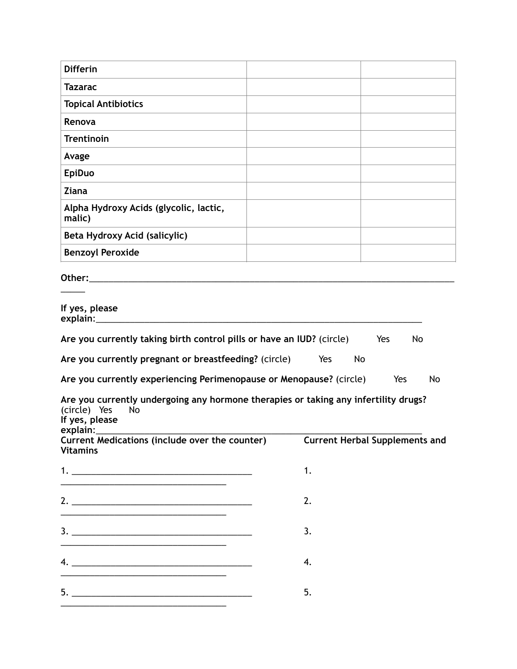| <b>Differin</b>                                                                                                                                 |                  |    |
|-------------------------------------------------------------------------------------------------------------------------------------------------|------------------|----|
| <b>Tazarac</b>                                                                                                                                  |                  |    |
| <b>Topical Antibiotics</b>                                                                                                                      |                  |    |
| Renova                                                                                                                                          |                  |    |
| <b>Trentinoin</b>                                                                                                                               |                  |    |
| Avage                                                                                                                                           |                  |    |
| <b>EpiDuo</b>                                                                                                                                   |                  |    |
| <b>Ziana</b>                                                                                                                                    |                  |    |
| Alpha Hydroxy Acids (glycolic, lactic,<br>malic)                                                                                                |                  |    |
| Beta Hydroxy Acid (salicylic)                                                                                                                   |                  |    |
| <b>Benzoyl Peroxide</b>                                                                                                                         |                  |    |
| If yes, please                                                                                                                                  |                  |    |
|                                                                                                                                                 |                  |    |
| Are you currently taking birth control pills or have an IUD? (circle)                                                                           | Yes<br>No        |    |
| Are you currently pregnant or breastfeeding? (circle)<br>Are you currently experiencing Perimenopause or Menopause? (circle)                    | Yes<br>No<br>Yes | No |
| Are you currently undergoing any hormone therapies or taking any infertility drugs?<br>(circle) Yes<br><b>No</b><br>If yes, please<br>explain:_ |                  |    |
| Current Medications (include over the counter) Current Herbal Supplements and<br><b>Vitamins</b>                                                |                  |    |
|                                                                                                                                                 | 1.               |    |
| <u> 1989 - Jan James James, martin de la provincia de la provincia de la provincia de la provincia de la provincia</u>                          | 2.               |    |
| <u> 1990 - Johann John Stone, mars et al. 1990 - John Stone, mars et al. 1990 - John Stone, mars et al. 1990 - John Stone</u>                   | 3.               |    |
| <u> 1989 - Johann John Stein, market fan it ferskearre fan it ferskearre fan it ferskearre fan it ferskearre fan i</u>                          | 4.               |    |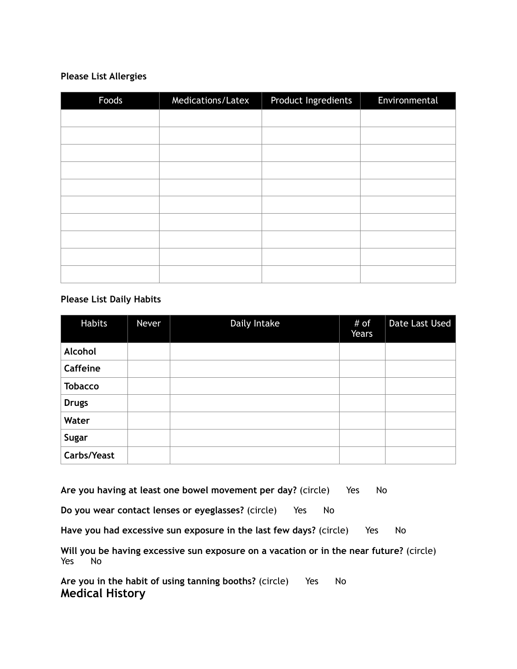### **Please List Allergies**

| Foods | Medications/Latex | Product Ingredients | Environmental |
|-------|-------------------|---------------------|---------------|
|       |                   |                     |               |
|       |                   |                     |               |
|       |                   |                     |               |
|       |                   |                     |               |
|       |                   |                     |               |
|       |                   |                     |               |
|       |                   |                     |               |
|       |                   |                     |               |
|       |                   |                     |               |
|       |                   |                     |               |

#### **Please List Daily Habits**

| Habits          | Never | Daily Intake | # of<br>Years | Date Last Used |
|-----------------|-------|--------------|---------------|----------------|
| Alcohol         |       |              |               |                |
| <b>Caffeine</b> |       |              |               |                |
| <b>Tobacco</b>  |       |              |               |                |
| <b>Drugs</b>    |       |              |               |                |
| Water           |       |              |               |                |
| Sugar           |       |              |               |                |
| Carbs/Yeast     |       |              |               |                |

Are you having at least one bowel movement per day? (circle) Yes No

**Do you wear contact lenses or eyeglasses?** (circle) Yes No

Have you had excessive sun exposure in the last few days? (circle) Yes No

**Will you be having excessive sun exposure on a vacation or in the near future?** (circle) Yes No

Are you in the habit of using tanning booths? (circle) Yes No **Medical History**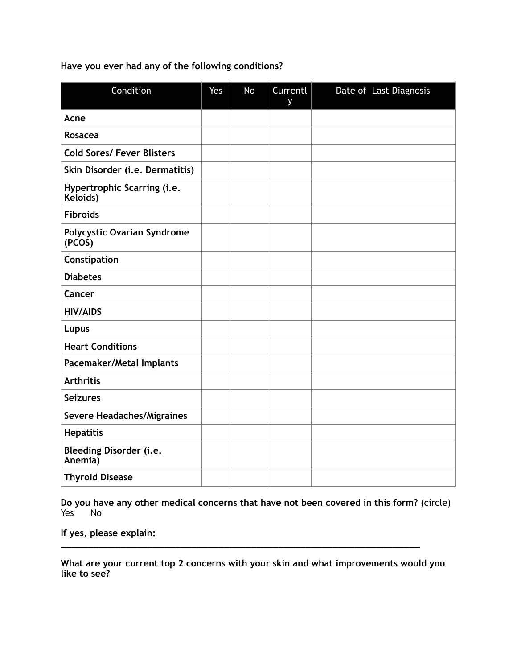**Have you ever had any of the following conditions?** 

| Condition                                    | Yes | No | Currentl<br>y | Date of Last Diagnosis |
|----------------------------------------------|-----|----|---------------|------------------------|
| Acne                                         |     |    |               |                        |
| <b>Rosacea</b>                               |     |    |               |                        |
| <b>Cold Sores/ Fever Blisters</b>            |     |    |               |                        |
| Skin Disorder (i.e. Dermatitis)              |     |    |               |                        |
| Hypertrophic Scarring (i.e.<br>Keloids)      |     |    |               |                        |
| <b>Fibroids</b>                              |     |    |               |                        |
| <b>Polycystic Ovarian Syndrome</b><br>(PCOS) |     |    |               |                        |
| Constipation                                 |     |    |               |                        |
| <b>Diabetes</b>                              |     |    |               |                        |
| Cancer                                       |     |    |               |                        |
| <b>HIV/AIDS</b>                              |     |    |               |                        |
| Lupus                                        |     |    |               |                        |
| <b>Heart Conditions</b>                      |     |    |               |                        |
| Pacemaker/Metal Implants                     |     |    |               |                        |
| <b>Arthritis</b>                             |     |    |               |                        |
| <b>Seizures</b>                              |     |    |               |                        |
| <b>Severe Headaches/Migraines</b>            |     |    |               |                        |
| <b>Hepatitis</b>                             |     |    |               |                        |
| <b>Bleeding Disorder (i.e.</b><br>Anemia)    |     |    |               |                        |
| <b>Thyroid Disease</b>                       |     |    |               |                        |

**Do you have any other medical concerns that have not been covered in this form?** (circle) Yes<sup>*M*</sup>

**If yes, please explain:** 

**What are your current top 2 concerns with your skin and what improvements would you like to see?** 

**\_\_\_\_\_\_\_\_\_\_\_\_\_\_\_\_\_\_\_\_\_\_\_\_\_\_\_\_\_\_\_\_\_\_\_\_\_\_\_\_\_\_\_\_\_\_\_\_\_\_\_\_\_\_\_\_\_\_\_\_\_\_\_\_\_\_**